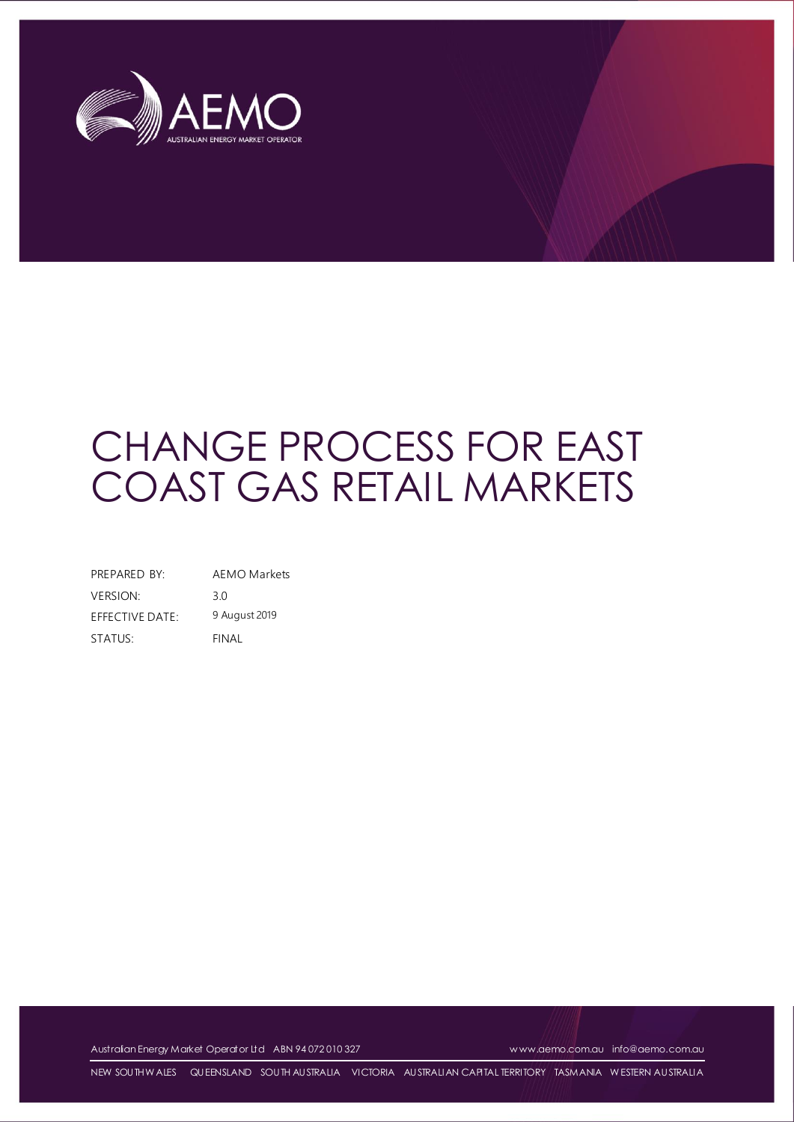

# CHANGE PROCESS FOR EAST COAST GAS RETAIL MARKETS

| PREPARED BY:    | AEMO Markets  |
|-----------------|---------------|
| <b>VERSION:</b> | 30            |
| EFFECTIVE DATE: | 9 August 2019 |
| STATUS:         | FINAL         |

Australian Energy Market Operator Ltd ABN 94 072 010 327 [w ww.aemo.com.au](http://www.aemo.com.au/) [info@aemo.com.au](mailto:info@aemo.com.au)

NEW SOUTH W ALES QUEENSLAND SOUTH AUSTRALIA VICTORIA AUSTRALIAN CAPITAL TERRITORY TASMANIA W ESTERN AUSTRALIA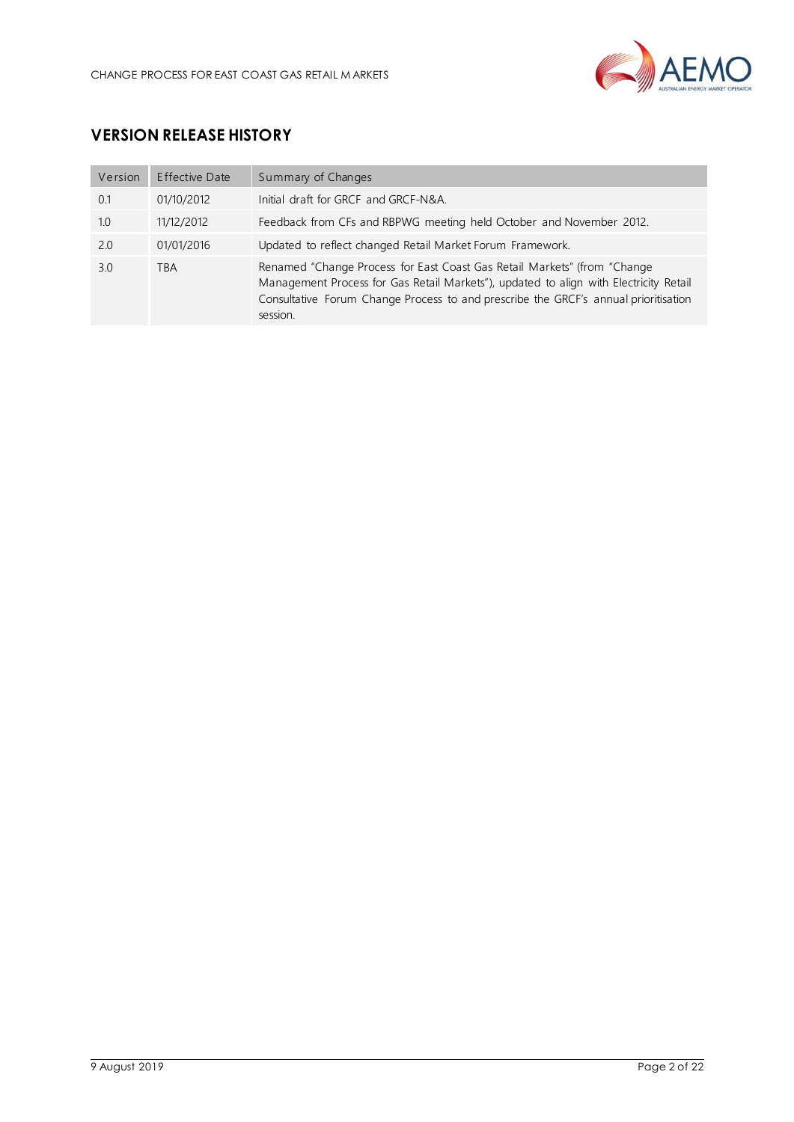

# **VERSION RELEASE HISTORY**

| Version | Effective Date | Summary of Changes                                                                                                                                                                                                                                                    |
|---------|----------------|-----------------------------------------------------------------------------------------------------------------------------------------------------------------------------------------------------------------------------------------------------------------------|
| 0.1     | 01/10/2012     | Initial draft for GRCF and GRCF-N&A.                                                                                                                                                                                                                                  |
| 1.0     | 11/12/2012     | Feedback from CFs and RBPWG meeting held October and November 2012.                                                                                                                                                                                                   |
| 2.0     | 01/01/2016     | Updated to reflect changed Retail Market Forum Framework.                                                                                                                                                                                                             |
| 3.0     | <b>TBA</b>     | Renamed "Change Process for East Coast Gas Retail Markets" (from "Change"<br>Management Process for Gas Retail Markets"), updated to align with Electricity Retail<br>Consultative Forum Change Process to and prescribe the GRCF's annual prioritisation<br>session. |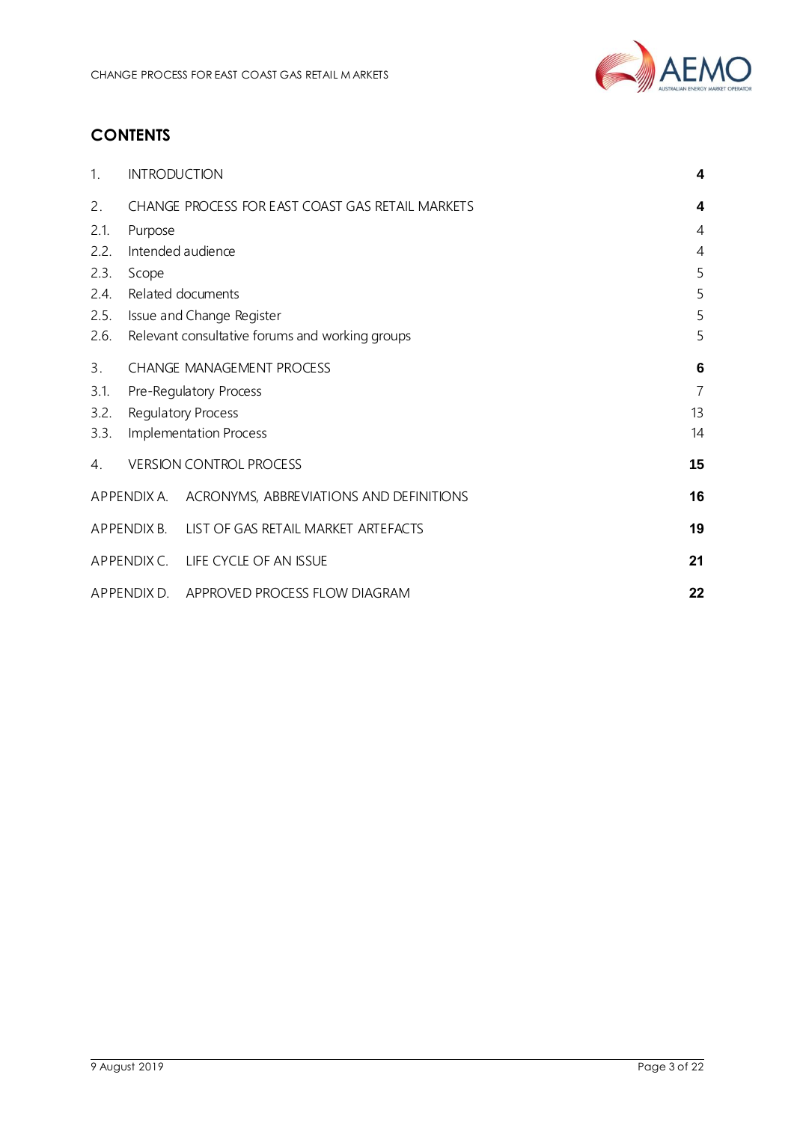

# **CONTENTS**

| 1.   | <b>INTRODUCTION</b> |                                                     | 4              |
|------|---------------------|-----------------------------------------------------|----------------|
| 2.   |                     | CHANGE PROCESS FOR EAST COAST GAS RETAIL MARKETS    | 4              |
| 2.1. | Purpose             |                                                     | $\overline{4}$ |
| 2.2. |                     | Intended audience                                   | 4              |
| 2.3. | Scope               |                                                     | 5              |
| 2.4. |                     | Related documents                                   | 5              |
| 2.5. |                     | Issue and Change Register                           | 5              |
| 2.6. |                     | Relevant consultative forums and working groups     | 5              |
| 3.   |                     | <b>CHANGE MANAGEMENT PROCESS</b>                    | 6              |
| 3.1. |                     | Pre-Regulatory Process                              | $\overline{7}$ |
| 3.2. |                     | <b>Regulatory Process</b>                           | 13             |
| 3.3. |                     | <b>Implementation Process</b>                       | 14             |
| 4.   |                     | <b>VERSION CONTROL PROCESS</b>                      | 15             |
|      |                     | APPENDIX A. ACRONYMS, ABBREVIATIONS AND DEFINITIONS | 16             |
|      | APPENDIX B.         | LIST OF GAS RETAIL MARKET ARTEFACTS                 | 19             |
|      | APPENDIX C.         | LIFE CYCLE OF AN ISSUE                              | 21             |
|      | APPENDIX D.         | APPROVED PROCESS FLOW DIAGRAM                       | 22             |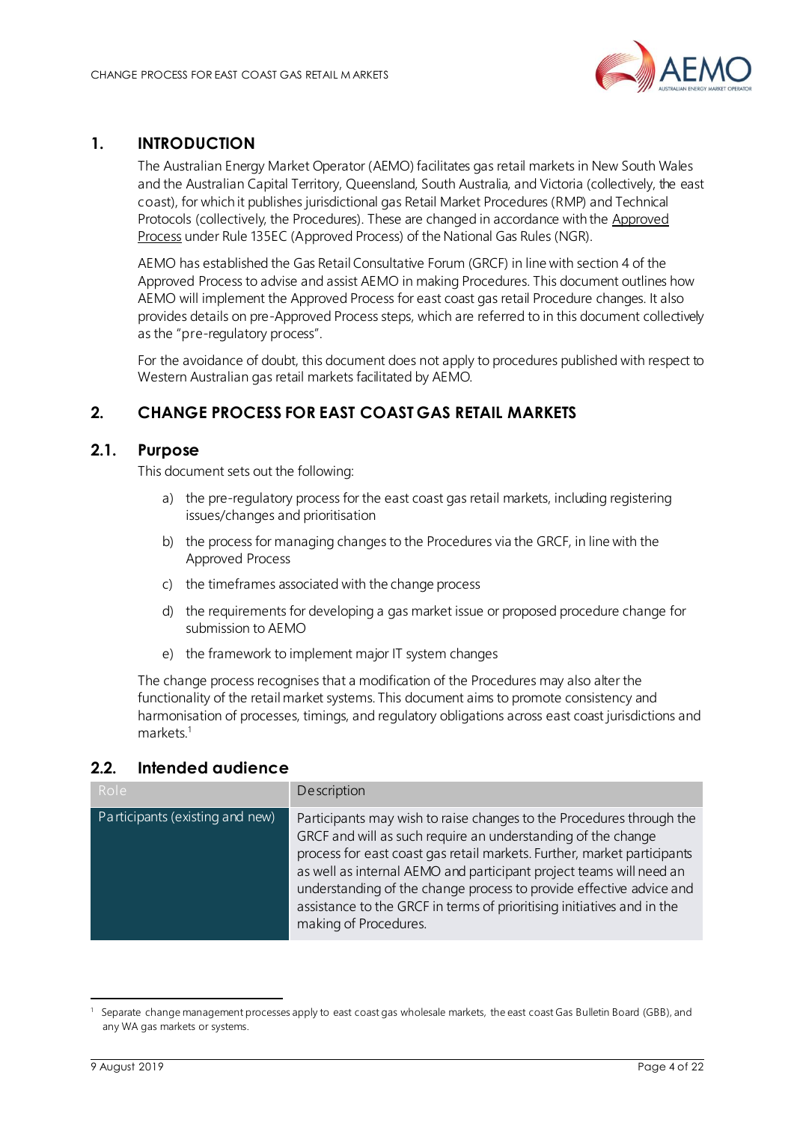

## <span id="page-3-0"></span>**1. INTRODUCTION**

The Australian Energy Market Operator (AEMO) facilitates gas retail markets in New South Wales and the Australian Capital Territory, Queensland, South Australia, and Victoria (collectively, the east coast), for which it publishes jurisdictional gas Retail Market Procedures (RMP) and Technical Protocols (collectively, the Procedures). These are changed in accordance with th[e Approved](http://aemo.com.au/-/media/Files/Gas/Retail_Markets_and_Metering/Market-Procedures/2016/Approved-Process-Under-Rule-135EC.pdf)  [Process](http://aemo.com.au/-/media/Files/Gas/Retail_Markets_and_Metering/Market-Procedures/2016/Approved-Process-Under-Rule-135EC.pdf) under Rule 135EC (Approved Process) of the National Gas Rules (NGR).

AEMO has established the Gas Retail Consultative Forum (GRCF) in line with section 4 of the Approved Process to advise and assist AEMO in making Procedures. This document outlines how AEMO will implement the Approved Process for east coast gas retail Procedure changes. It also provides details on pre-Approved Process steps, which are referred to in this document collectively as the "pre-regulatory process".

For the avoidance of doubt, this document does not apply to procedures published with respect to Western Australian gas retail markets facilitated by AEMO.

# <span id="page-3-1"></span>**2. CHANGE PROCESS FOR EAST COAST GAS RETAIL MARKETS**

#### <span id="page-3-2"></span>**2.1. Purpose**

This document sets out the following:

- a) the pre-regulatory process for the east coast gas retail markets, including registering issues/changes and prioritisation
- b) the process for managing changes to the Procedures via the GRCF, in line with the Approved Process
- c) the timeframes associated with the change process
- d) the requirements for developing a gas market issue or proposed procedure change for submission to AEMO
- e) the framework to implement major IT system changes

The change process recognises that a modification of the Procedures may also alter the functionality of the retail market systems. This document aims to promote consistency and harmonisation of processes, timings, and regulatory obligations across east coast jurisdictions and markets.<sup>1</sup>

#### <span id="page-3-3"></span>**2.2. Intended audience**

| Role                            | Description                                                                                                                                                                                                                                                                                                                                                                                                                                                      |
|---------------------------------|------------------------------------------------------------------------------------------------------------------------------------------------------------------------------------------------------------------------------------------------------------------------------------------------------------------------------------------------------------------------------------------------------------------------------------------------------------------|
| Participants (existing and new) | Participants may wish to raise changes to the Procedures through the<br>GRCF and will as such require an understanding of the change<br>process for east coast gas retail markets. Further, market participants<br>as well as internal AEMO and participant project teams will need an<br>understanding of the change process to provide effective advice and<br>assistance to the GRCF in terms of prioritising initiatives and in the<br>making of Procedures. |

<sup>1</sup> Separate change management processes apply to east coast gas wholesale markets, the east coast Gas Bulletin Board (GBB), and any WA gas markets or systems.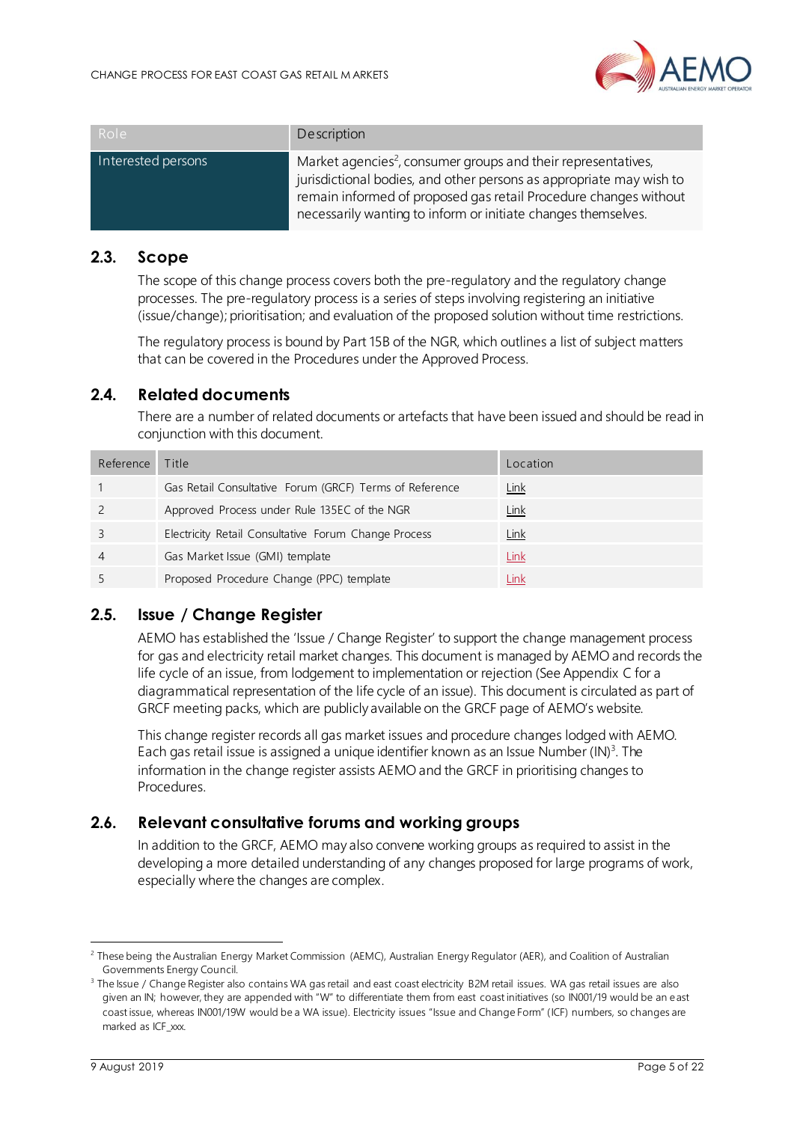

| Role               | <b>Description</b>                                                                                                                                                                                                                                                                    |
|--------------------|---------------------------------------------------------------------------------------------------------------------------------------------------------------------------------------------------------------------------------------------------------------------------------------|
| Interested persons | Market agencies <sup>2</sup> , consumer groups and their representatives,<br>jurisdictional bodies, and other persons as appropriate may wish to<br>remain informed of proposed gas retail Procedure changes without<br>necessarily wanting to inform or initiate changes themselves. |

### <span id="page-4-0"></span>**2.3. Scope**

The scope of this change process covers both the pre-regulatory and the regulatory change processes. The pre-regulatory process is a series of steps involving registering an initiative (issue/change); prioritisation; and evaluation of the proposed solution without time restrictions.

The regulatory process is bound by Part 15B of the NGR, which outlines a list of subject matters that can be covered in the Procedures under the Approved Process.

#### <span id="page-4-1"></span>**2.4. Related documents**

There are a number of related documents or artefacts that have been issued and should be read in conjunction with this document.

| Reference | <b>Title</b>                                            | Location |
|-----------|---------------------------------------------------------|----------|
|           | Gas Retail Consultative Forum (GRCF) Terms of Reference | Link     |
|           | Approved Process under Rule 135EC of the NGR            | Link     |
|           | Electricity Retail Consultative Forum Change Process    | Link     |
|           | Gas Market Issue (GMI) template                         | Link     |
|           | Proposed Procedure Change (PPC) template                | Link     |

#### <span id="page-4-2"></span>**2.5. Issue / Change Register**

AEMO has established the 'Issue / Change Register' to support the change management process for gas and electricity retail market changes. This document is managed by AEMO and records the life cycle of an issue, from lodgement to implementation or rejection (See Appendix C for a diagrammatical representation of the life cycle of an issue). This document is circulated as part of GRCF meeting packs, which are publicly available on the GRCF page of AEMO's website.

This change register records all gas market issues and procedure changes lodged with AEMO. Each gas retail issue is assigned a unique identifier known as an Issue Number (IN)<sup>3</sup>. The information in the change register assists AEMO and the GRCF in prioritising changes to Procedures.

#### <span id="page-4-3"></span>**2.6. Relevant consultative forums and working groups**

In addition to the GRCF, AEMO may also convene working groups as required to assist in the developing a more detailed understanding of any changes proposed for large programs of work, especially where the changes are complex.

<sup>2</sup> These being the Australian Energy Market Commission (AEMC), Australian Energy Regulator (AER), and Coalition of Australian Governments Energy Council.

<sup>&</sup>lt;sup>3</sup> The Issue / Change Register also contains WA gas retail and east coast electricity B2M retail issues. WA gas retail issues are also given an IN; however, they are appended with "W" to differentiate them from east coast initiatives (so IN001/19 would be an east coast issue, whereas IN001/19W would be a WA issue). Electricity issues "Issue and Change Form" (ICF) numbers, so changes are marked as ICF\_xxx.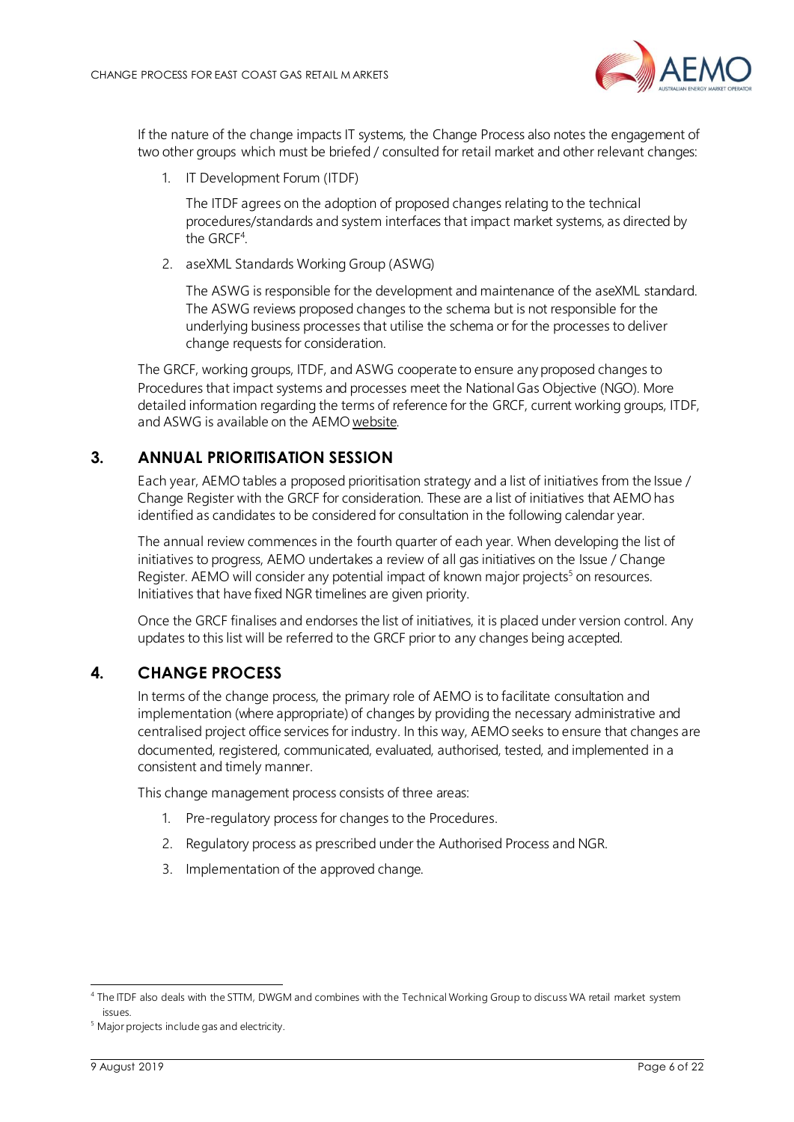

If the nature of the change impacts IT systems, the Change Process also notes the engagement of two other groups which must be briefed / consulted for retail market and other relevant changes:

1. IT Development Forum (ITDF)

The ITDF agrees on the adoption of proposed changes relating to the technical procedures/standards and system interfaces that impact market systems, as directed by the GRCF<sup>4</sup>.

2. aseXML Standards Working Group (ASWG)

The ASWG is responsible for the development and maintenance of the aseXML standard. The ASWG reviews proposed changes to the schema but is not responsible for the underlying business processes that utilise the schema or for the processes to deliver change requests for consideration.

The GRCF, working groups, ITDF, and ASWG cooperate to ensure any proposed changes to Procedures that impact systems and processes meet the National Gas Objective (NGO). More detailed information regarding the terms of reference for the GRCF, current working groups, ITDF, and ASWG is available on the AEM[O website](http://aemo.com.au/Stakeholder-Consultation/Industry-forums-and-working-groups/).

## **3. ANNUAL PRIORITISATION SESSION**

Each year, AEMO tables a proposed prioritisation strategy and a list of initiatives from the Issue / Change Register with the GRCF for consideration. These are a list of initiatives that AEMO has identified as candidates to be considered for consultation in the following calendar year.

The annual review commences in the fourth quarter of each year. When developing the list of initiatives to progress, AEMO undertakes a review of all gas initiatives on the Issue / Change Register. AEMO will consider any potential impact of known major projects<sup>5</sup> on resources. Initiatives that have fixed NGR timelines are given priority.

Once the GRCF finalises and endorses the list of initiatives, it is placed under version control. Any updates to this list will be referred to the GRCF prior to any changes being accepted.

#### <span id="page-5-0"></span>**4. CHANGE PROCESS**

In terms of the change process, the primary role of AEMO is to facilitate consultation and implementation (where appropriate) of changes by providing the necessary administrative and centralised project office services for industry. In this way, AEMO seeks to ensure that changes are documented, registered, communicated, evaluated, authorised, tested, and implemented in a consistent and timely manner.

This change management process consists of three areas:

- 1. Pre-regulatory process for changes to the Procedures.
- 2. Regulatory process as prescribed under the Authorised Process and NGR.
- 3. Implementation of the approved change.

-

<sup>4</sup> The ITDF also deals with the STTM, DWGM and combines with the Technical Working Group to discuss WA retail market system issues.

<sup>&</sup>lt;sup>5</sup> Major projects include gas and electricity.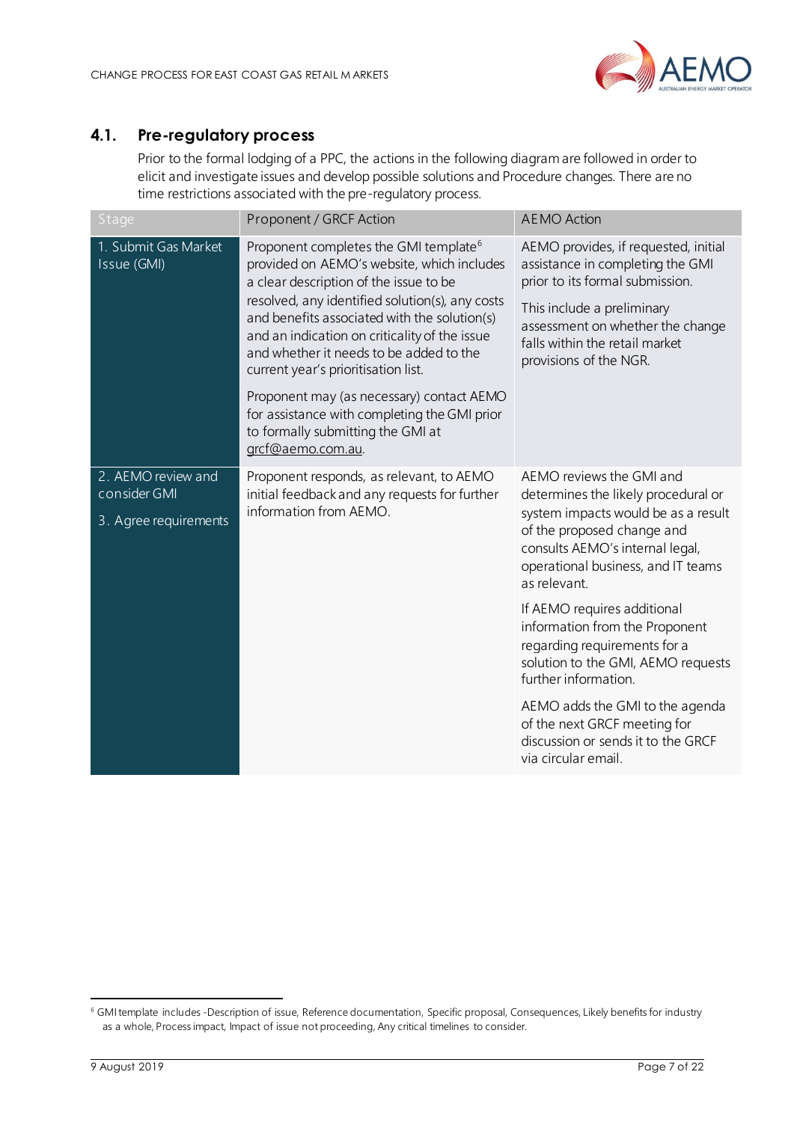

## <span id="page-6-0"></span>**4.1. Pre-regulatory process**

Prior to the formal lodging of a PPC, the actions in the following diagram are followed in order to elicit and investigate issues and develop possible solutions and Procedure changes. There are no time restrictions associated with the pre-regulatory process.

| Stage                                                       | Proponent / GRCF Action                                                                                                                                                                                                                                                                                                                                                         | <b>AEMO</b> Action                                                                                                                                                                                                                        |
|-------------------------------------------------------------|---------------------------------------------------------------------------------------------------------------------------------------------------------------------------------------------------------------------------------------------------------------------------------------------------------------------------------------------------------------------------------|-------------------------------------------------------------------------------------------------------------------------------------------------------------------------------------------------------------------------------------------|
| 1. Submit Gas Market<br>Issue (GMI)                         | Proponent completes the GMI template <sup>6</sup><br>provided on AEMO's website, which includes<br>a clear description of the issue to be<br>resolved, any identified solution(s), any costs<br>and benefits associated with the solution(s)<br>and an indication on criticality of the issue<br>and whether it needs to be added to the<br>current year's prioritisation list. | AEMO provides, if requested, initial<br>assistance in completing the GMI<br>prior to its formal submission.<br>This include a preliminary<br>assessment on whether the change<br>falls within the retail market<br>provisions of the NGR. |
|                                                             | Proponent may (as necessary) contact AEMO<br>for assistance with completing the GMI prior<br>to formally submitting the GMI at<br>grcf@aemo.com.au.                                                                                                                                                                                                                             |                                                                                                                                                                                                                                           |
| 2. AEMO review and<br>consider GMI<br>3. Agree requirements | Proponent responds, as relevant, to AEMO<br>initial feedback and any requests for further<br>information from AEMO.                                                                                                                                                                                                                                                             | AEMO reviews the GMI and<br>determines the likely procedural or<br>system impacts would be as a result<br>of the proposed change and<br>consults AEMO's internal legal,<br>operational business, and IT teams<br>as relevant.             |
|                                                             |                                                                                                                                                                                                                                                                                                                                                                                 | If AEMO requires additional<br>information from the Proponent<br>regarding requirements for a<br>solution to the GMI, AEMO requests<br>further information.                                                                               |
|                                                             |                                                                                                                                                                                                                                                                                                                                                                                 | AEMO adds the GMI to the agenda<br>of the next GRCF meeting for<br>discussion or sends it to the GRCF<br>via circular email.                                                                                                              |

<sup>&</sup>lt;sup>6</sup> GMI template includes -Description of issue, Reference documentation, Specific proposal, Consequences, Likely benefits for industry as a whole, Process impact, Impact of issue not proceeding, Any critical timelines to consider.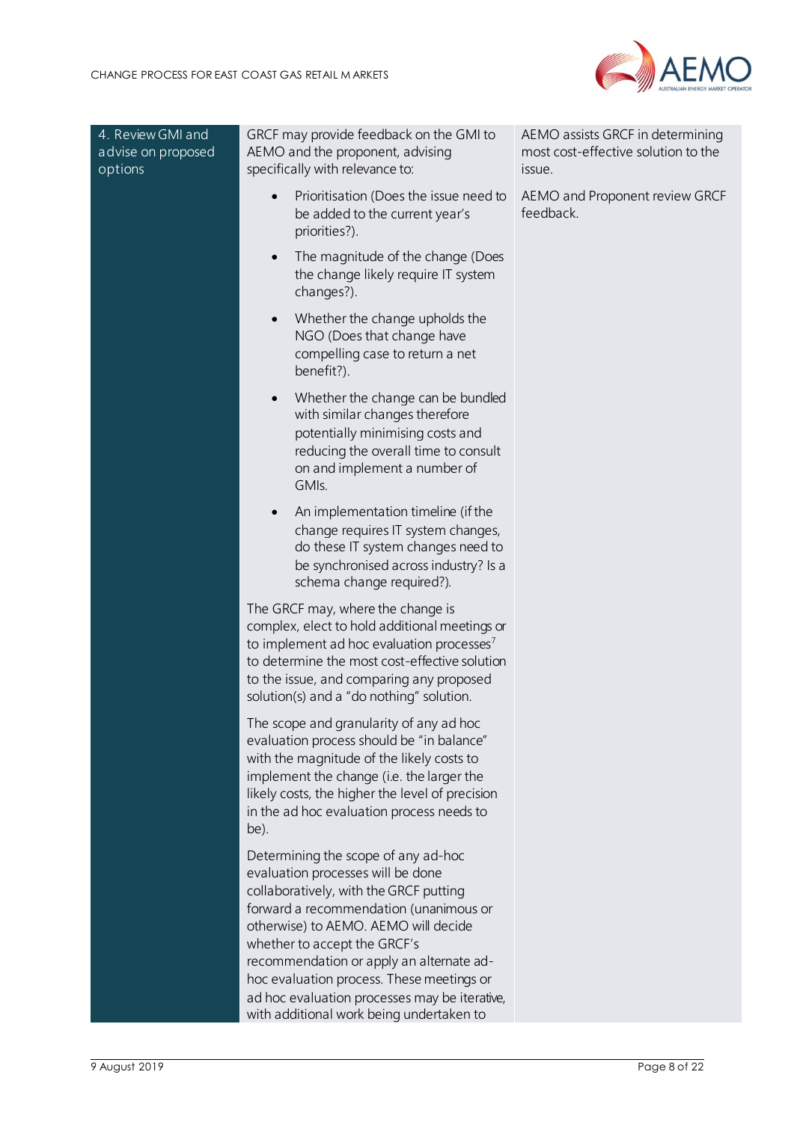

| 4. Review GMI and<br>a dvise on proposed<br>options | GRCF may provide feedback on the GMI to<br>AEMO and the proponent, advising<br>specifically with relevance to:                                                                                                                                                                                                                                                                                                             | AEMO assists GRCF in determining<br>most cost-effective solution to the<br>issue. |
|-----------------------------------------------------|----------------------------------------------------------------------------------------------------------------------------------------------------------------------------------------------------------------------------------------------------------------------------------------------------------------------------------------------------------------------------------------------------------------------------|-----------------------------------------------------------------------------------|
|                                                     | Prioritisation (Does the issue need to<br>be added to the current year's<br>priorities?).                                                                                                                                                                                                                                                                                                                                  | AEMO and Proponent review GRCF<br>feedback.                                       |
|                                                     | The magnitude of the change (Does<br>$\bullet$<br>the change likely require IT system<br>changes?).                                                                                                                                                                                                                                                                                                                        |                                                                                   |
|                                                     | Whether the change upholds the<br>$\bullet$<br>NGO (Does that change have<br>compelling case to return a net<br>benefit?).                                                                                                                                                                                                                                                                                                 |                                                                                   |
|                                                     | Whether the change can be bundled<br>$\bullet$<br>with similar changes therefore<br>potentially minimising costs and<br>reducing the overall time to consult<br>on and implement a number of<br>GMIs.                                                                                                                                                                                                                      |                                                                                   |
|                                                     | An implementation timeline (if the<br>$\bullet$<br>change requires IT system changes,<br>do these IT system changes need to<br>be synchronised across industry? Is a<br>schema change required?).                                                                                                                                                                                                                          |                                                                                   |
|                                                     | The GRCF may, where the change is<br>complex, elect to hold additional meetings or<br>to implement ad hoc evaluation processes $^7$<br>to determine the most cost-effective solution<br>to the issue, and comparing any proposed<br>solution(s) and a "do nothing" solution.                                                                                                                                               |                                                                                   |
|                                                     | The scope and granularity of any ad hoc<br>evaluation process should be "in balance"<br>with the magnitude of the likely costs to<br>implement the change (i.e. the larger the<br>likely costs, the higher the level of precision<br>in the ad hoc evaluation process needs to<br>be).                                                                                                                                     |                                                                                   |
|                                                     | Determining the scope of any ad-hoc<br>evaluation processes will be done<br>collaboratively, with the GRCF putting<br>forward a recommendation (unanimous or<br>otherwise) to AEMO. AEMO will decide<br>whether to accept the GRCF's<br>recommendation or apply an alternate ad-<br>hoc evaluation process. These meetings or<br>ad hoc evaluation processes may be iterative,<br>with additional work being undertaken to |                                                                                   |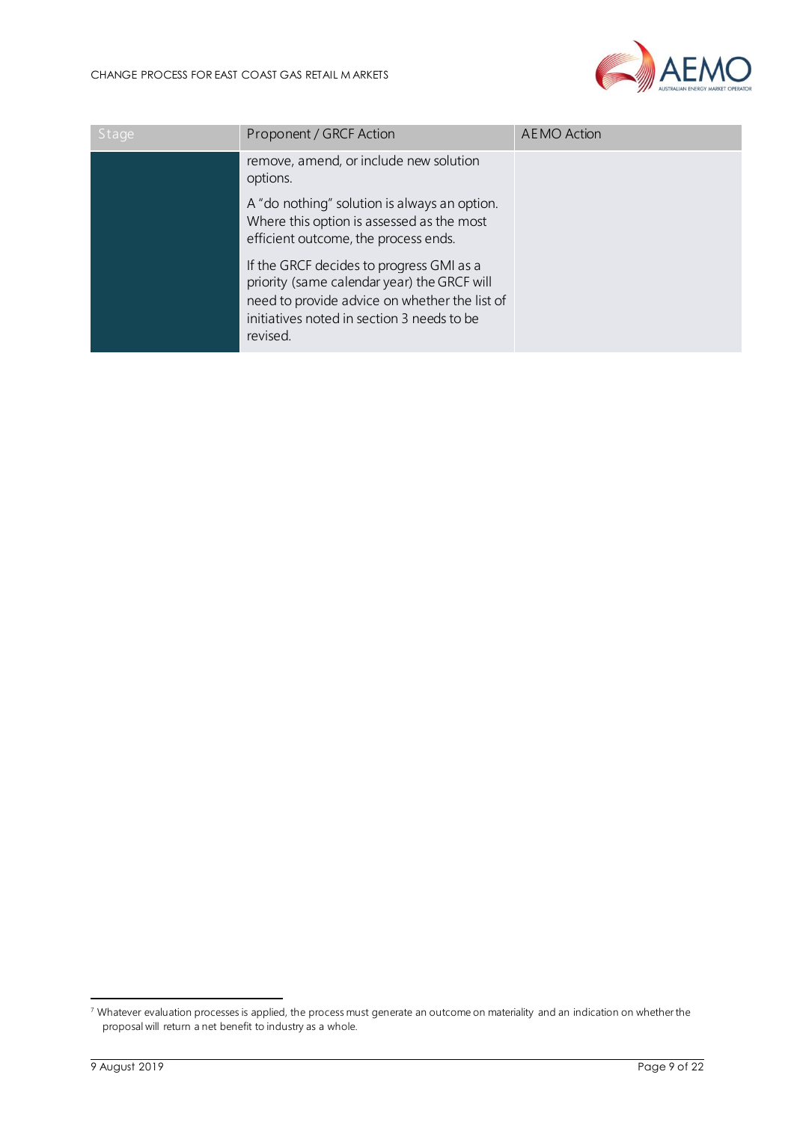

| Stage | Proponent / GRCF Action                                                                                                                                                                            | <b>AEMO</b> Action |
|-------|----------------------------------------------------------------------------------------------------------------------------------------------------------------------------------------------------|--------------------|
|       | remove, amend, or include new solution<br>options.                                                                                                                                                 |                    |
|       | A "do nothing" solution is always an option.<br>Where this option is assessed as the most<br>efficient outcome, the process ends.                                                                  |                    |
|       | If the GRCF decides to progress GMI as a<br>priority (same calendar year) the GRCF will<br>need to provide advice on whether the list of<br>initiatives noted in section 3 needs to be<br>revised. |                    |

 $^7$  Whatever evaluation processes is applied, the process must generate an outcome on materiality and an indication on whether the proposal will return a net benefit to industry as a whole.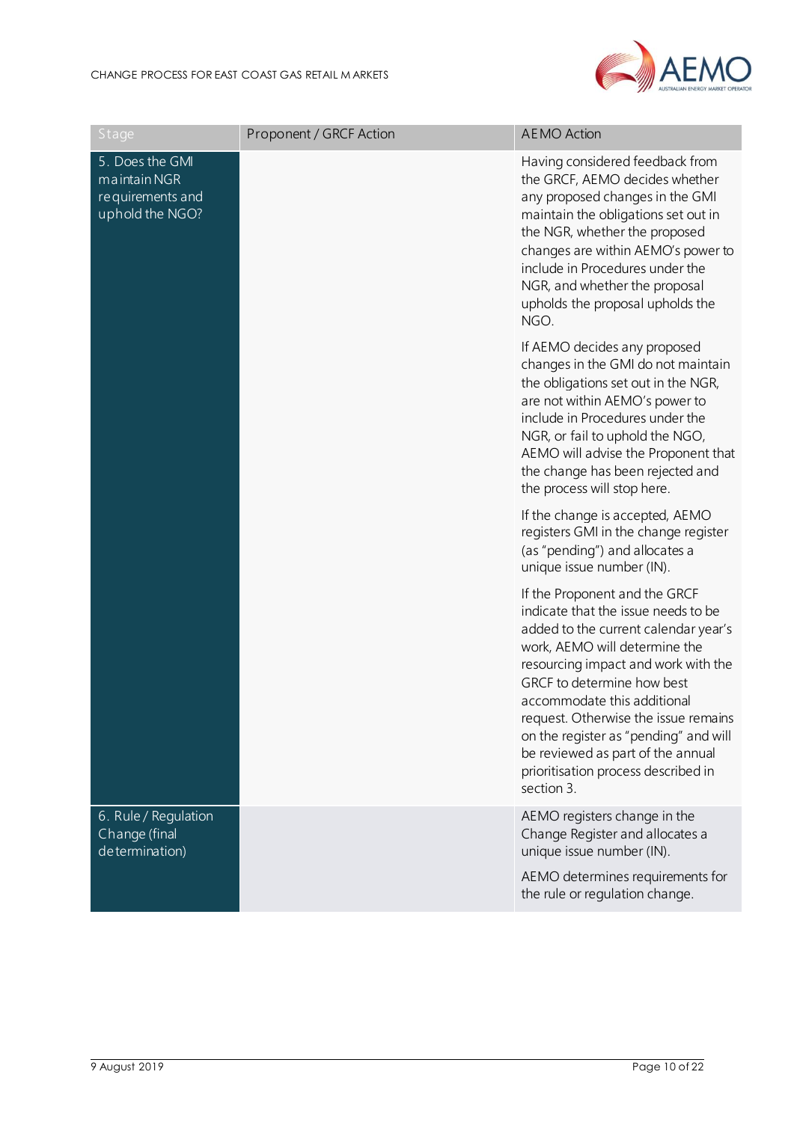

| Stage                                                                  | Proponent / GRCF Action | <b>AEMO</b> Action                                                                                                                                                                                                                                                                                                                                                                                                           |
|------------------------------------------------------------------------|-------------------------|------------------------------------------------------------------------------------------------------------------------------------------------------------------------------------------------------------------------------------------------------------------------------------------------------------------------------------------------------------------------------------------------------------------------------|
| 5. Does the GMI<br>maintain NGR<br>requirements and<br>uphold the NGO? |                         | Having considered feedback from<br>the GRCF, AEMO decides whether<br>any proposed changes in the GMI<br>maintain the obligations set out in<br>the NGR, whether the proposed<br>changes are within AEMO's power to<br>include in Procedures under the<br>NGR, and whether the proposal<br>upholds the proposal upholds the<br>NGO.                                                                                           |
|                                                                        |                         | If AEMO decides any proposed<br>changes in the GMI do not maintain<br>the obligations set out in the NGR,<br>are not within AEMO's power to<br>include in Procedures under the<br>NGR, or fail to uphold the NGO,<br>AEMO will advise the Proponent that<br>the change has been rejected and<br>the process will stop here.                                                                                                  |
|                                                                        |                         | If the change is accepted, AEMO<br>registers GMI in the change register<br>(as "pending") and allocates a<br>unique issue number (IN).                                                                                                                                                                                                                                                                                       |
|                                                                        |                         | If the Proponent and the GRCF<br>indicate that the issue needs to be<br>added to the current calendar year's<br>work, AEMO will determine the<br>resourcing impact and work with the<br>GRCF to determine how best<br>accommodate this additional<br>request. Otherwise the issue remains<br>on the register as "pending" and will<br>be reviewed as part of the annual<br>prioritisation process described in<br>section 3. |
| 6. Rule / Regulation<br>Change (final<br>determination)                |                         | AEMO registers change in the<br>Change Register and allocates a<br>unique issue number (IN).<br>AEMO determines requirements for                                                                                                                                                                                                                                                                                             |
|                                                                        |                         | the rule or regulation change.                                                                                                                                                                                                                                                                                                                                                                                               |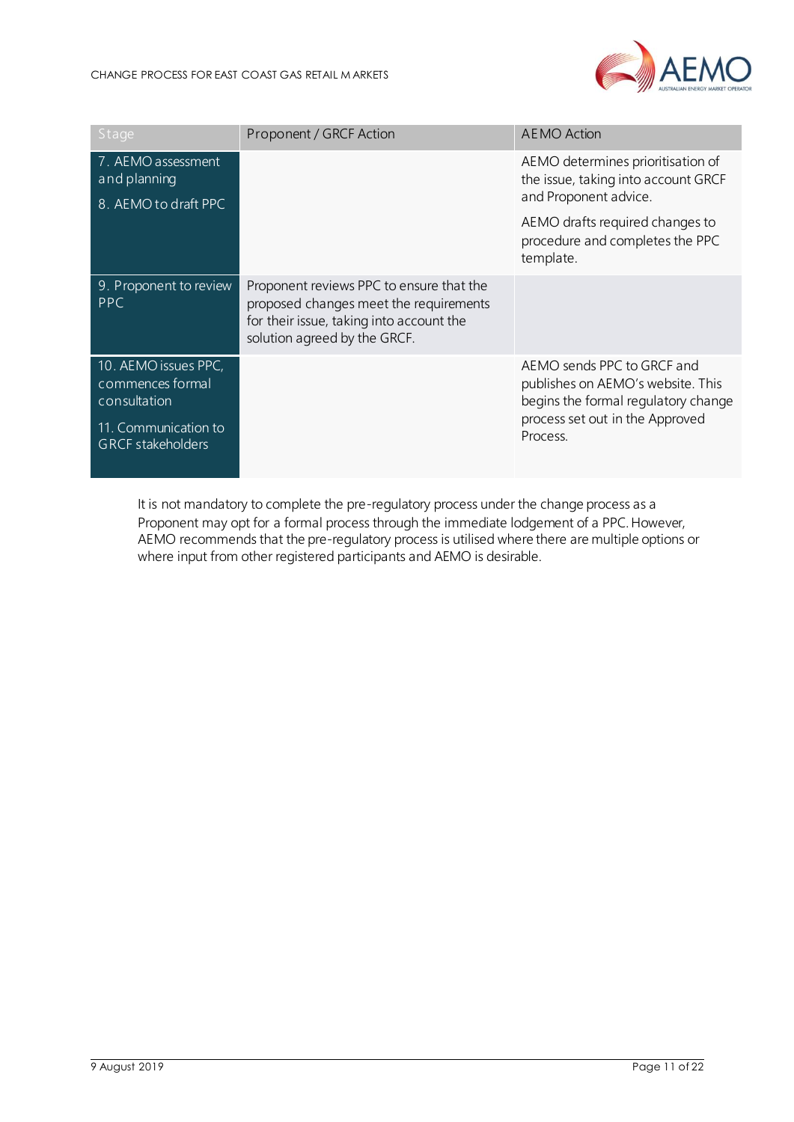

| Stage                                                    | Proponent / GRCF Action                                                                                                                                        | <b>AEMO</b> Action                                                                                     |
|----------------------------------------------------------|----------------------------------------------------------------------------------------------------------------------------------------------------------------|--------------------------------------------------------------------------------------------------------|
| 7. AEMO assessment<br>and planning                       |                                                                                                                                                                | AEMO determines prioritisation of<br>the issue, taking into account GRCF<br>and Proponent advice.      |
| 8. AEMO to draft PPC                                     |                                                                                                                                                                | AEMO drafts required changes to<br>procedure and completes the PPC<br>template.                        |
| 9. Proponent to review<br><b>PPC</b>                     | Proponent reviews PPC to ensure that the<br>proposed changes meet the requirements<br>for their issue, taking into account the<br>solution agreed by the GRCF. |                                                                                                        |
| 10. AEMO issues PPC,<br>commences formal<br>consultation |                                                                                                                                                                | AEMO sends PPC to GRCF and<br>publishes on AEMO's website. This<br>begins the formal regulatory change |
| 11. Communication to<br><b>GRCF stakeholders</b>         |                                                                                                                                                                | process set out in the Approved<br>Process.                                                            |

It is not mandatory to complete the pre-regulatory process under the change process as a Proponent may opt for a formal process through the immediate lodgement of a PPC. However, AEMO recommends that the pre-regulatory process is utilised where there are multiple options or where input from other registered participants and AEMO is desirable.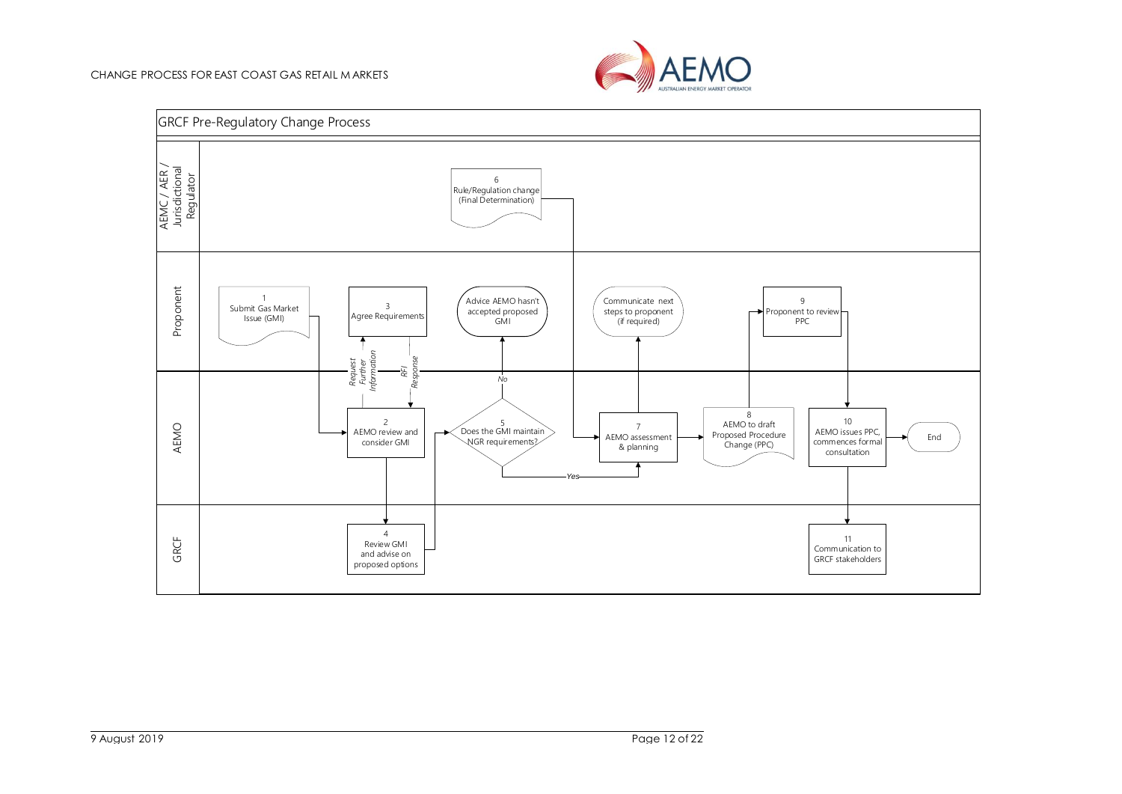

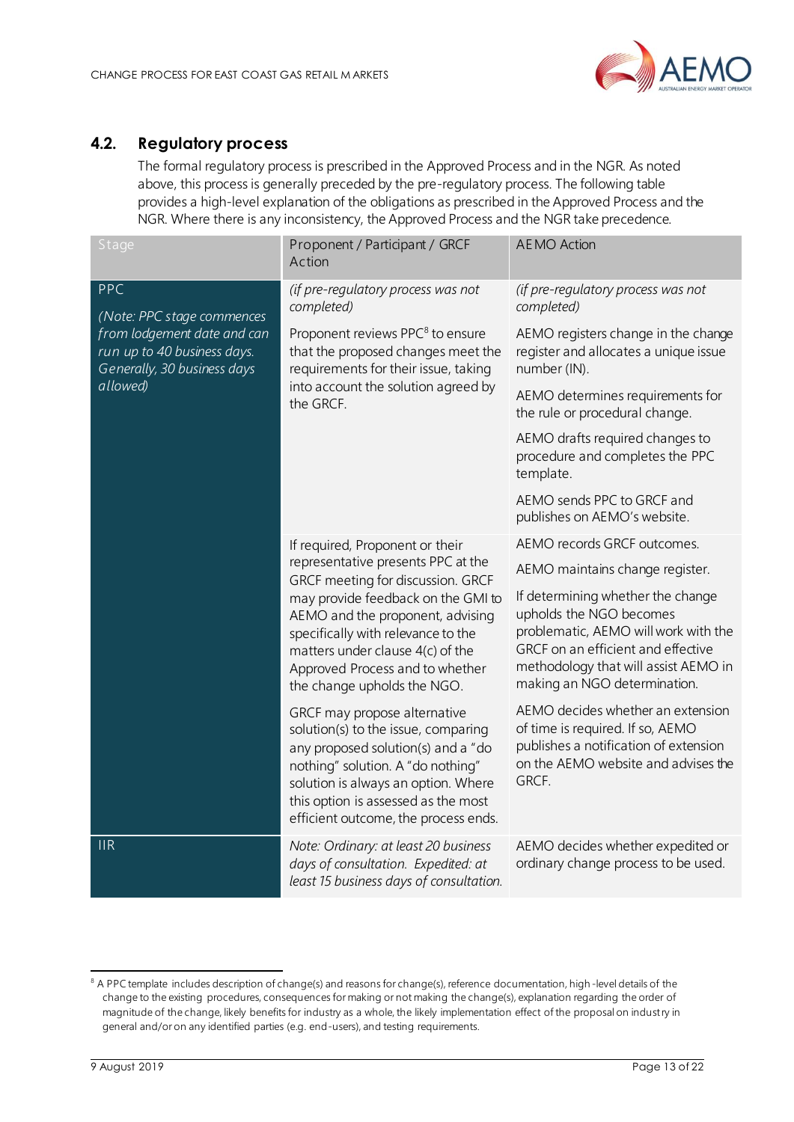#### <span id="page-12-0"></span>**4.2. Regulatory process**

The formal regulatory process is prescribed in the Approved Process and in the NGR. As noted above, this process is generally preceded by the pre-regulatory process. The following table provides a high-level explanation of the obligations as prescribed in the Approved Process and the NGR. Where there is any inconsistency, the Approved Process and the NGR take precedence.

| Stage                                                                                                                                      | Proponent / Participant / GRCF<br>Action                                                                                                                                                                                                                                                                                         | <b>AEMO</b> Action                                                                                                                                                                                                                                                                                                                      |
|--------------------------------------------------------------------------------------------------------------------------------------------|----------------------------------------------------------------------------------------------------------------------------------------------------------------------------------------------------------------------------------------------------------------------------------------------------------------------------------|-----------------------------------------------------------------------------------------------------------------------------------------------------------------------------------------------------------------------------------------------------------------------------------------------------------------------------------------|
| PPC<br>(Note: PPC stage commences<br>from lodgement date and can<br>run up to 40 business days.<br>Generally, 30 business days<br>allowed) | (if pre-regulatory process was not<br>completed)<br>Proponent reviews PPC <sup>8</sup> to ensure<br>that the proposed changes meet the<br>requirements for their issue, taking<br>into account the solution agreed by<br>the GRCF.                                                                                               | (if pre-regulatory process was not<br>completed)<br>AEMO registers change in the change<br>register and allocates a unique issue<br>number (IN).<br>AEMO determines requirements for<br>the rule or procedural change.<br>AEMO drafts required changes to<br>procedure and completes the PPC<br>template.<br>AEMO sends PPC to GRCF and |
|                                                                                                                                            |                                                                                                                                                                                                                                                                                                                                  | publishes on AEMO's website.                                                                                                                                                                                                                                                                                                            |
|                                                                                                                                            | If required, Proponent or their<br>representative presents PPC at the<br>GRCF meeting for discussion. GRCF<br>may provide feedback on the GMI to<br>AEMO and the proponent, advising<br>specifically with relevance to the<br>matters under clause 4(c) of the<br>Approved Process and to whether<br>the change upholds the NGO. | AEMO records GRCF outcomes.<br>AEMO maintains change register.<br>If determining whether the change<br>upholds the NGO becomes<br>problematic, AEMO will work with the<br>GRCF on an efficient and effective<br>methodology that will assist AEMO in<br>making an NGO determination.                                                    |
|                                                                                                                                            | GRCF may propose alternative<br>solution(s) to the issue, comparing<br>any proposed solution(s) and a "do<br>nothing" solution. A "do nothing"<br>solution is always an option. Where<br>this option is assessed as the most<br>efficient outcome, the process ends.                                                             | AEMO decides whether an extension<br>of time is required. If so, AEMO<br>publishes a notification of extension<br>on the AEMO website and advises the<br>GRCF.                                                                                                                                                                          |
| $\mathsf{IIR}$                                                                                                                             | Note: Ordinary: at least 20 business<br>days of consultation. Expedited: at<br>least 15 business days of consultation.                                                                                                                                                                                                           | AEMO decides whether expedited or<br>ordinary change process to be used.                                                                                                                                                                                                                                                                |

-

<sup>&</sup>lt;sup>8</sup> A PPC template includes description of change(s) and reasons for change(s), reference documentation, high-level details of the change to the existing procedures, consequences for making or not making the change(s), explanation regarding the order of magnitude of the change, likely benefits for industry as a whole, the likely implementation effect of the proposal on industry in general and/or on any identified parties (e.g. end-users), and testing requirements.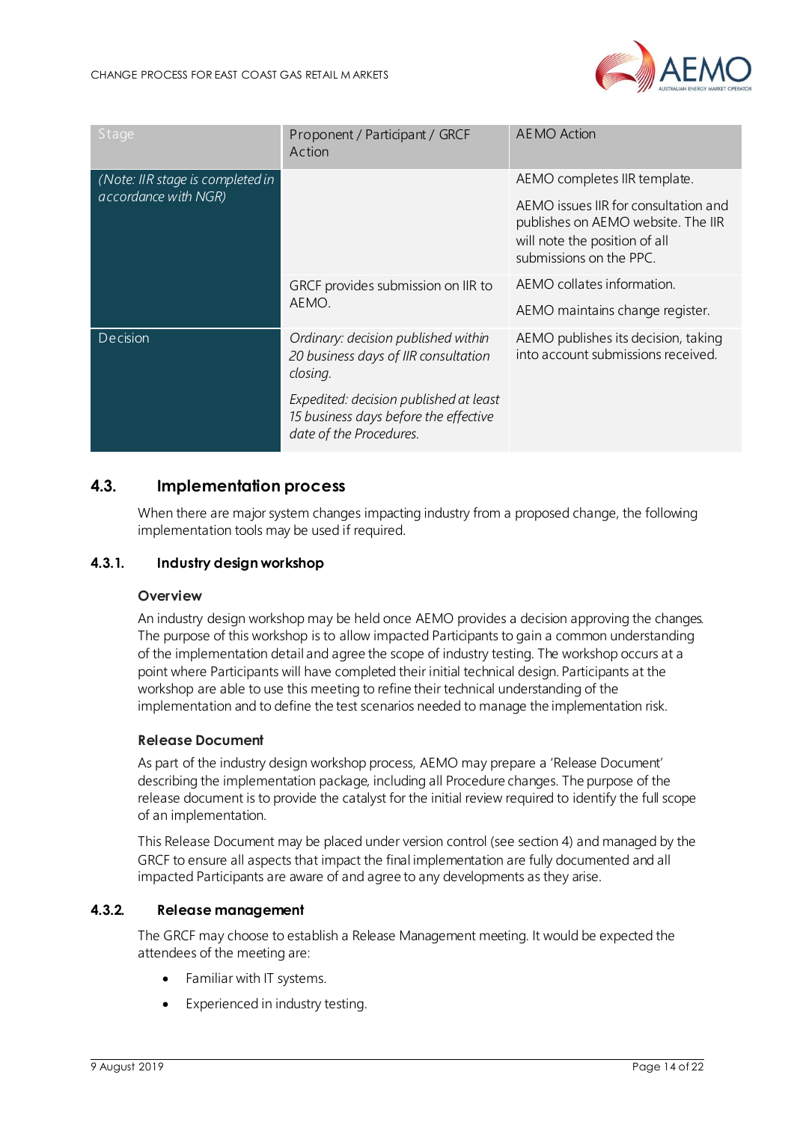

| Stage                                                    | Proponent / Participant / GRCF<br>Action                                                                   | <b>AEMO</b> Action                                                                                                                                                     |
|----------------------------------------------------------|------------------------------------------------------------------------------------------------------------|------------------------------------------------------------------------------------------------------------------------------------------------------------------------|
| (Note: IIR stage is completed in<br>accordance with NGR) |                                                                                                            | AEMO completes IIR template.<br>AEMO issues IIR for consultation and<br>publishes on AEMO website. The IIR<br>will note the position of all<br>submissions on the PPC. |
|                                                          | GRCF provides submission on IIR to<br>AEMO.                                                                | AEMO collates information.<br>AEMO maintains change register.                                                                                                          |
| Decision                                                 | Ordinary: decision published within<br>20 business days of IIR consultation<br>closing.                    | AEMO publishes its decision, taking<br>into account submissions received.                                                                                              |
|                                                          | Expedited: decision published at least<br>15 business days before the effective<br>date of the Procedures. |                                                                                                                                                                        |

#### <span id="page-13-0"></span>**4.3. Implementation process**

When there are major system changes impacting industry from a proposed change, the following implementation tools may be used if required.

#### **4.3.1. Industry design workshop**

#### **Overview**

An industry design workshop may be held once AEMO provides a decision approving the changes. The purpose of this workshop is to allow impacted Participants to gain a common understanding of the implementation detail and agree the scope of industry testing. The workshop occurs at a point where Participants will have completed their initial technical design. Participants at the workshop are able to use this meeting to refine their technical understanding of the implementation and to define the test scenarios needed to manage the implementation risk.

#### **Release Document**

As part of the industry design workshop process, AEMO may prepare a 'Release Document' describing the implementation package, including all Procedure changes. The purpose of the release document is to provide the catalyst for the initial review required to identify the full scope of an implementation.

This Release Document may be placed under version control (see section 4) and managed by the GRCF to ensure all aspects that impact the final implementation are fully documented and all impacted Participants are aware of and agree to any developments as they arise.

#### **4.3.2. Release management**

The GRCF may choose to establish a Release Management meeting. It would be expected the attendees of the meeting are:

- Familiar with IT systems.
- Experienced in industry testing.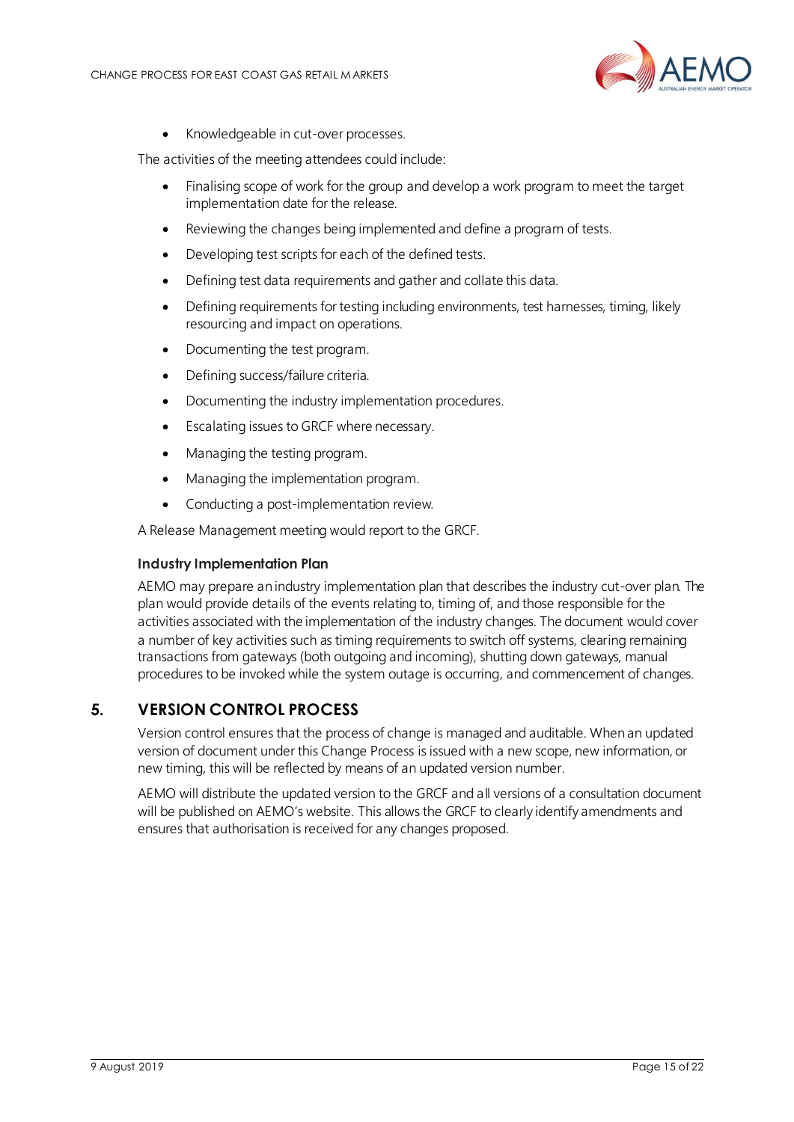

• Knowledgeable in cut-over processes.

The activities of the meeting attendees could include:

- Finalising scope of work for the group and develop a work program to meet the target implementation date for the release.
- Reviewing the changes being implemented and define a program of tests.
- Developing test scripts for each of the defined tests.
- Defining test data requirements and gather and collate this data.
- Defining requirements for testing including environments, test harnesses, timing, likely resourcing and impact on operations.
- Documenting the test program.
- Defining success/failure criteria.
- Documenting the industry implementation procedures.
- Escalating issues to GRCF where necessary.
- Managing the testing program.
- Managing the implementation program.
- Conducting a post-implementation review.

A Release Management meeting would report to the GRCF.

#### **Industry Implementation Plan**

AEMO may prepare an industry implementation plan that describes the industry cut-over plan. The plan would provide details of the events relating to, timing of, and those responsible for the activities associated with the implementation of the industry changes. The document would cover a number of key activities such as timing requirements to switch off systems, clearing remaining transactions from gateways (both outgoing and incoming), shutting down gateways, manual procedures to be invoked while the system outage is occurring, and commencement of changes.

#### <span id="page-14-0"></span>**5. VERSION CONTROL PROCESS**

Version control ensures that the process of change is managed and auditable. When an updated version of document under this Change Process is issued with a new scope, new information, or new timing, this will be reflected by means of an updated version number.

AEMO will distribute the updated version to the GRCF and all versions of a consultation document will be published on AEMO's website. This allows the GRCF to clearly identify amendments and ensures that authorisation is received for any changes proposed.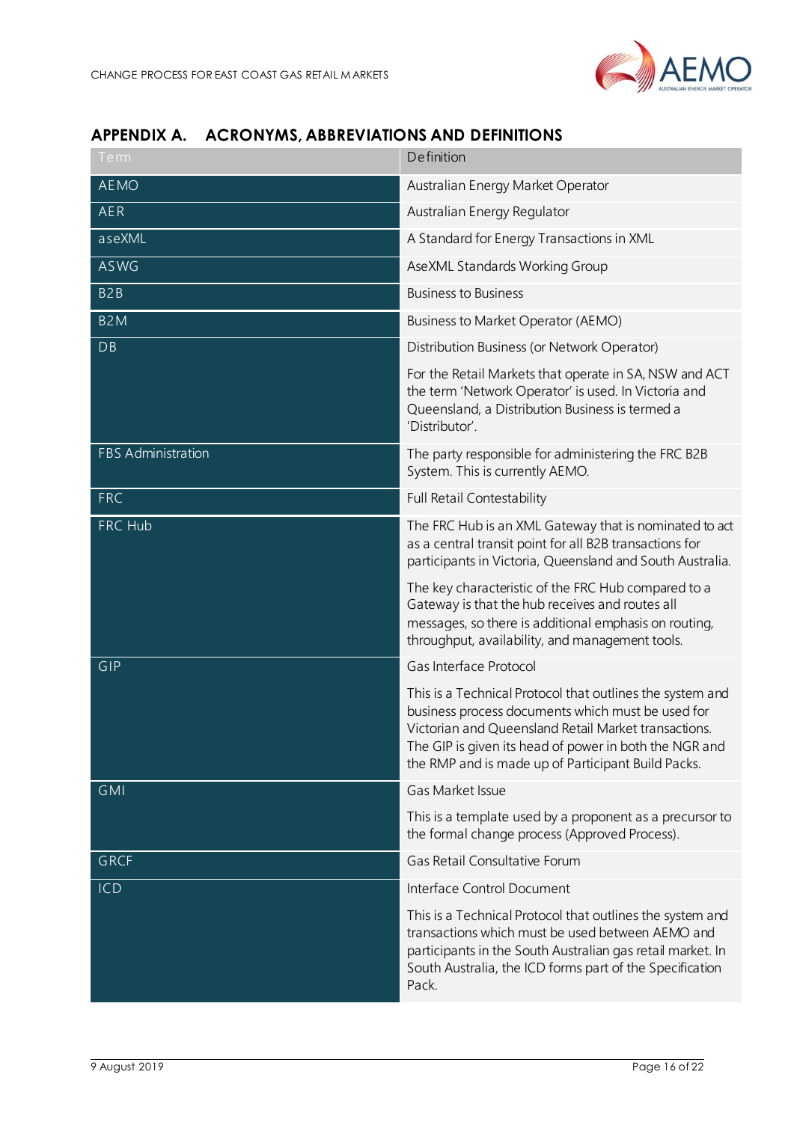

## <span id="page-15-0"></span>**APPENDIX A. ACRONYMS, ABBREVIATIONS AND DEFINITIONS**

| Term                      | Definition                                                                                                                                                                                                                                                                             |
|---------------------------|----------------------------------------------------------------------------------------------------------------------------------------------------------------------------------------------------------------------------------------------------------------------------------------|
| <b>AEMO</b>               | Australian Energy Market Operator                                                                                                                                                                                                                                                      |
| AER                       | Australian Energy Regulator                                                                                                                                                                                                                                                            |
| aseXML                    | A Standard for Energy Transactions in XML                                                                                                                                                                                                                                              |
| ASWG                      | AseXML Standards Working Group                                                                                                                                                                                                                                                         |
| B <sub>2</sub> B          | <b>Business to Business</b>                                                                                                                                                                                                                                                            |
| B <sub>2</sub> M          | Business to Market Operator (AEMO)                                                                                                                                                                                                                                                     |
| DB                        | Distribution Business (or Network Operator)                                                                                                                                                                                                                                            |
|                           | For the Retail Markets that operate in SA, NSW and ACT<br>the term 'Network Operator' is used. In Victoria and<br>Queensland, a Distribution Business is termed a<br>'Distributor'.                                                                                                    |
| <b>FBS Administration</b> | The party responsible for administering the FRC B2B<br>System. This is currently AEMO.                                                                                                                                                                                                 |
| <b>FRC</b>                | Full Retail Contestability                                                                                                                                                                                                                                                             |
| FRC Hub                   | The FRC Hub is an XML Gateway that is nominated to act<br>as a central transit point for all B2B transactions for<br>participants in Victoria, Queensland and South Australia.                                                                                                         |
|                           | The key characteristic of the FRC Hub compared to a<br>Gateway is that the hub receives and routes all<br>messages, so there is additional emphasis on routing,<br>throughput, availability, and management tools.                                                                     |
| GIP                       | Gas Interface Protocol                                                                                                                                                                                                                                                                 |
|                           | This is a Technical Protocol that outlines the system and<br>business process documents which must be used for<br>Victorian and Queensland Retail Market transactions.<br>The GIP is given its head of power in both the NGR and<br>the RMP and is made up of Participant Build Packs. |
| <b>GMI</b>                | Gas Market Issue                                                                                                                                                                                                                                                                       |
|                           | This is a template used by a proponent as a precursor to<br>the formal change process (Approved Process).                                                                                                                                                                              |
| <b>GRCF</b>               | Gas Retail Consultative Forum                                                                                                                                                                                                                                                          |
| ICD                       | Interface Control Document                                                                                                                                                                                                                                                             |
|                           | This is a Technical Protocol that outlines the system and<br>transactions which must be used between AEMO and<br>participants in the South Australian gas retail market. In<br>South Australia, the ICD forms part of the Specification<br>Pack.                                       |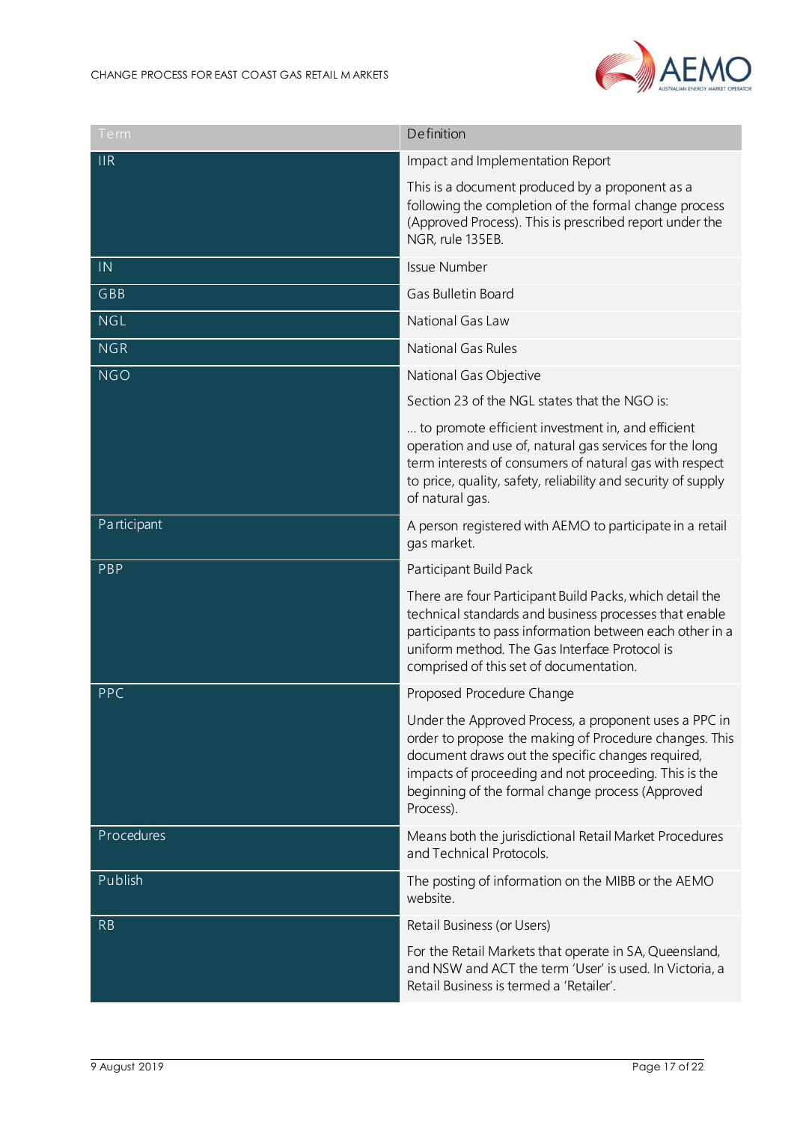

| Term             | Definition                                                                                                                                                                                                                                                                                     |
|------------------|------------------------------------------------------------------------------------------------------------------------------------------------------------------------------------------------------------------------------------------------------------------------------------------------|
| $\mathsf{I}$ IIR | Impact and Implementation Report                                                                                                                                                                                                                                                               |
|                  | This is a document produced by a proponent as a<br>following the completion of the formal change process<br>(Approved Process). This is prescribed report under the<br>NGR, rule 135EB.                                                                                                        |
| IN               | <b>Issue Number</b>                                                                                                                                                                                                                                                                            |
| GBB              | Gas Bulletin Board                                                                                                                                                                                                                                                                             |
| <b>NGL</b>       | National Gas Law                                                                                                                                                                                                                                                                               |
| <b>NGR</b>       | National Gas Rules                                                                                                                                                                                                                                                                             |
| <b>NGO</b>       | National Gas Objective                                                                                                                                                                                                                                                                         |
|                  | Section 23 of the NGL states that the NGO is:                                                                                                                                                                                                                                                  |
|                  | to promote efficient investment in, and efficient<br>operation and use of, natural gas services for the long<br>term interests of consumers of natural gas with respect<br>to price, quality, safety, reliability and security of supply<br>of natural gas.                                    |
| Participant      | A person registered with AEMO to participate in a retail<br>gas market.                                                                                                                                                                                                                        |
| PBP              | Participant Build Pack                                                                                                                                                                                                                                                                         |
|                  | There are four Participant Build Packs, which detail the<br>technical standards and business processes that enable<br>participants to pass information between each other in a<br>uniform method. The Gas Interface Protocol is<br>comprised of this set of documentation.                     |
| PPC              | Proposed Procedure Change                                                                                                                                                                                                                                                                      |
|                  | Under the Approved Process, a proponent uses a PPC in<br>order to propose the making of Procedure changes. This<br>document draws out the specific changes required,<br>impacts of proceeding and not proceeding. This is the<br>beginning of the formal change process (Approved<br>Process). |
| Procedures       | Means both the jurisdictional Retail Market Procedures<br>and Technical Protocols.                                                                                                                                                                                                             |
| Publish          | The posting of information on the MIBB or the AEMO<br>website.                                                                                                                                                                                                                                 |
| RB               | Retail Business (or Users)                                                                                                                                                                                                                                                                     |
|                  | For the Retail Markets that operate in SA, Queensland,<br>and NSW and ACT the term 'User' is used. In Victoria, a<br>Retail Business is termed a 'Retailer'.                                                                                                                                   |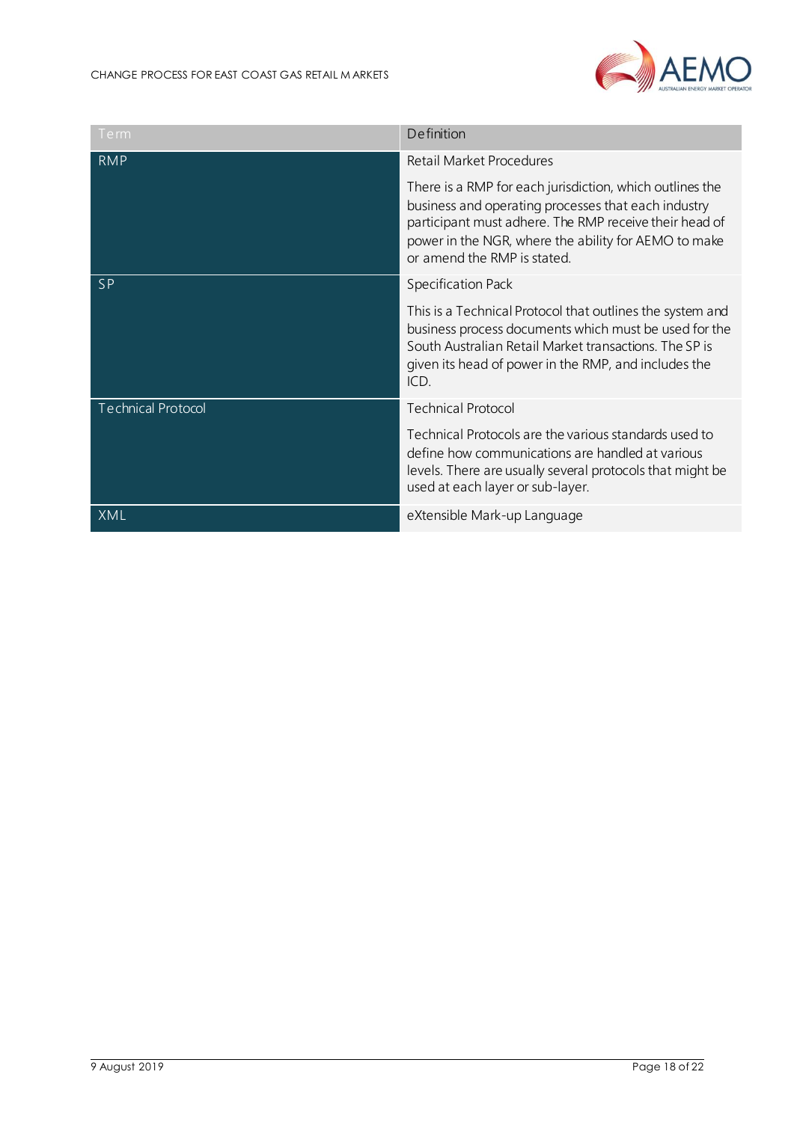

| Term                      | Definition                                                                                                                                                                                                                                                       |
|---------------------------|------------------------------------------------------------------------------------------------------------------------------------------------------------------------------------------------------------------------------------------------------------------|
| <b>RMP</b>                | <b>Retail Market Procedures</b>                                                                                                                                                                                                                                  |
|                           | There is a RMP for each jurisdiction, which outlines the<br>business and operating processes that each industry<br>participant must adhere. The RMP receive their head of<br>power in the NGR, where the ability for AEMO to make<br>or amend the RMP is stated. |
| <b>SP</b>                 | Specification Pack                                                                                                                                                                                                                                               |
|                           | This is a Technical Protocol that outlines the system and<br>business process documents which must be used for the<br>South Australian Retail Market transactions. The SP is<br>given its head of power in the RMP, and includes the<br>ICD.                     |
| <b>Technical Protocol</b> | <b>Technical Protocol</b>                                                                                                                                                                                                                                        |
|                           | Technical Protocols are the various standards used to<br>define how communications are handled at various<br>levels. There are usually several protocols that might be<br>used at each layer or sub-layer.                                                       |
| <b>XML</b>                | eXtensible Mark-up Language                                                                                                                                                                                                                                      |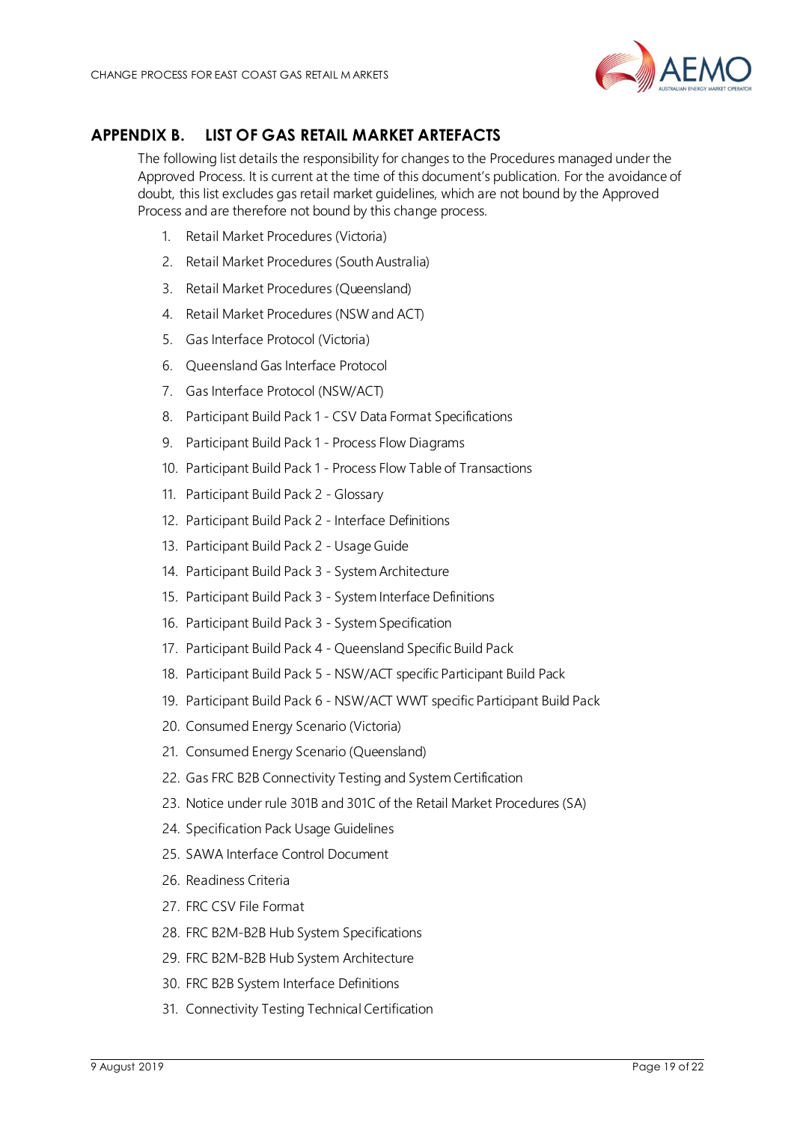

# <span id="page-18-0"></span>**APPENDIX B. LIST OF GAS RETAIL MARKET ARTEFACTS**

The following list details the responsibility for changes to the Procedures managed under the Approved Process. It is current at the time of this document's publication. For the avoidance of doubt, this list excludes gas retail market guidelines, which are not bound by the Approved Process and are therefore not bound by this change process.

- 1. Retail Market Procedures (Victoria)
- 2. Retail Market Procedures (South Australia)
- 3. Retail Market Procedures (Queensland)
- 4. Retail Market Procedures (NSW and ACT)
- 5. Gas Interface Protocol (Victoria)
- 6. Queensland Gas Interface Protocol
- 7. Gas Interface Protocol (NSW/ACT)
- 8. Participant Build Pack 1 CSV Data Format Specifications
- 9. Participant Build Pack 1 Process Flow Diagrams
- 10. Participant Build Pack 1 Process Flow Table of Transactions
- 11. Participant Build Pack 2 Glossary
- 12. Participant Build Pack 2 Interface Definitions
- 13. Participant Build Pack 2 Usage Guide
- 14. Participant Build Pack 3 System Architecture
- 15. Participant Build Pack 3 System Interface Definitions
- 16. Participant Build Pack 3 System Specification
- 17. Participant Build Pack 4 Queensland Specific Build Pack
- 18. Participant Build Pack 5 NSW/ACT specific Participant Build Pack
- 19. Participant Build Pack 6 NSW/ACT WWT specific Participant Build Pack
- 20. Consumed Energy Scenario (Victoria)
- 21. Consumed Energy Scenario (Queensland)
- 22. Gas FRC B2B Connectivity Testing and System Certification
- 23. Notice under rule 301B and 301C of the Retail Market Procedures (SA)
- 24. Specification Pack Usage Guidelines
- 25. SAWA Interface Control Document
- 26. Readiness Criteria
- 27. FRC CSV File Format
- 28. FRC B2M-B2B Hub System Specifications
- 29. FRC B2M-B2B Hub System Architecture
- 30. FRC B2B System Interface Definitions
- 31. Connectivity Testing Technical Certification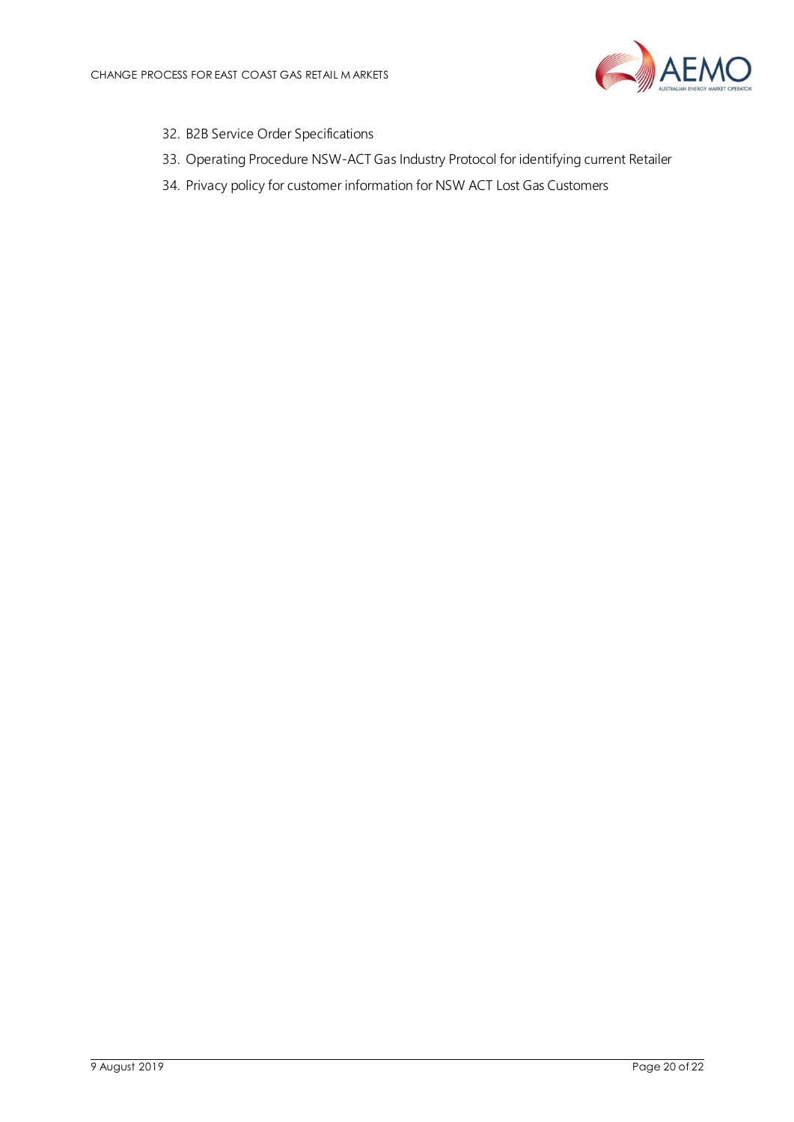

- 32. B2B Service Order Specifications
- 33. Operating Procedure NSW-ACT Gas Industry Protocol for identifying current Retailer
- 34. Privacy policy for customer information for NSW ACT Lost Gas Customers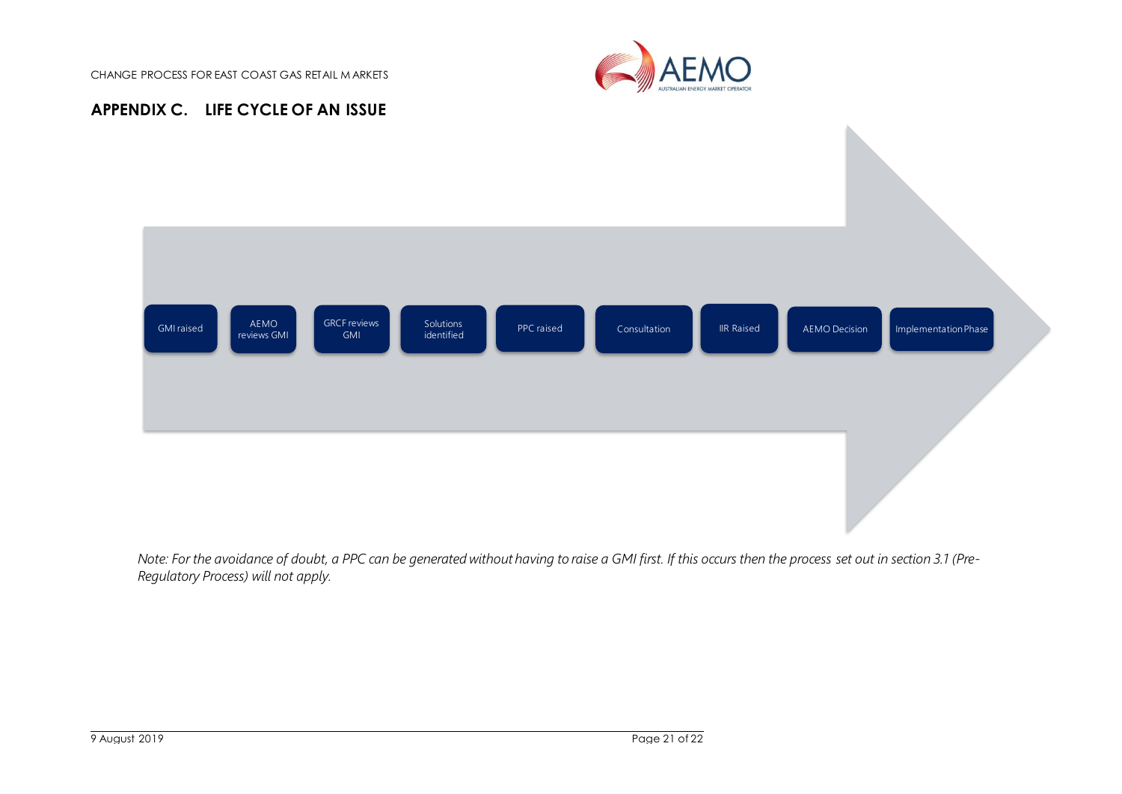

### **APPENDIX C. LIFE CYCLE OF AN ISSUE**



<span id="page-20-0"></span>*Note: For the avoidance of doubt, a PPC can be generated without having to raise a GMI first. If this occurs then the process set out in section 3.1 (Pre-Regulatory Process) will not apply.*